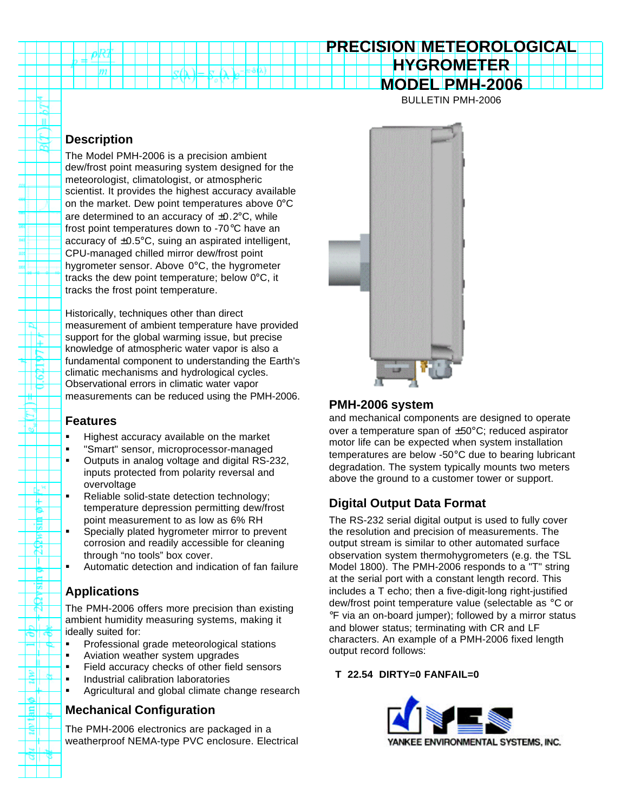# **PRECISION METEOROLOGICAL HYGROMETER MODEL PMH-2006**

BULLETIN PMH-2006

## **Description**

n

₩

ΙĦ

de<sup>se</sup> ⊬ 9.

B. ₩. П Ě ⊠

٦

আৰু

≋l

Ξ

m

The Model PMH-2006 is a precision ambient dew/frost point measuring system designed for the meteorologist, climatologist, or atmospheric scientist. It provides the highest accuracy available on the market. Dew point temperatures above 0°C are determined to an accuracy of  $\pm 0.2$ °C, while frost point temperatures down to -70°C have an accuracy of  $\pm 0.5^{\circ}$ C, suing an aspirated intelligent, CPU-managed chilled mirror dew/frost point hygrometer sensor. Above 0°C, the hygrometer tracks the dew point temperature; below 0°C, it tracks the frost point temperature.

s∕h

'o

 $n\cdot\hat{o}$ A)

Historically, techniques other than direct measurement of ambient temperature have provided support for the global warming issue, but precise knowledge of atmospheric water vapor is also a fundamental component to understanding the Earth's climatic mechanisms and hydrological cycles. Observational errors in climatic water vapor measurements can be reduced using the PMH-2006.

#### **Features**

- **Highest accuracy available on the market**
- **•** "Smart" sensor, microprocessor-managed
- ß Outputs in analog voltage and digital RS-232, inputs protected from polarity reversal and overvoltage
- ß Reliable solid-state detection technology; temperature depression permitting dew/frost point measurement to as low as 6% RH
- ß Specially plated hygrometer mirror to prevent corrosion and readily accessible for cleaning through "no tools" box cover.
- ß Automatic detection and indication of fan failure

## **Applications**

The PMH-2006 offers more precision than existing ambient humidity measuring systems, making it ideally suited for:

- **•** Professional grade meteorological stations
- ß Aviation weather system upgrades
- **Field accuracy checks of other field sensors**
- **Industrial calibration laboratories**
- ß Agricultural and global climate change research

## **Mechanical Configuration**

The PMH-2006 electronics are packaged in a weatherproof NEMA-type PVC enclosure. Electrical



### **PMH-2006 system**

and mechanical components are designed to operate over a temperature span of ±50°C; reduced aspirator motor life can be expected when system installation temperatures are below -50°C due to bearing lubricant degradation. The system typically mounts two meters above the ground to a customer tower or support.

## **Digital Output Data Format**

The RS-232 serial digital output is used to fully cover the resolution and precision of measurements. The output stream is similar to other automated surface observation system thermohygrometers (e.g. the TSL Model 1800). The PMH-2006 responds to a "T" string at the serial port with a constant length record. This includes a T echo; then a five-digit-long right-justified dew/frost point temperature value (selectable as °C or °F via an on-board jumper); followed by a mirror status and blower status; terminating with CR and LF characters. An example of a PMH-2006 fixed length output record follows:

#### **T 22.54 DIRTY=0 FANFAIL=0**

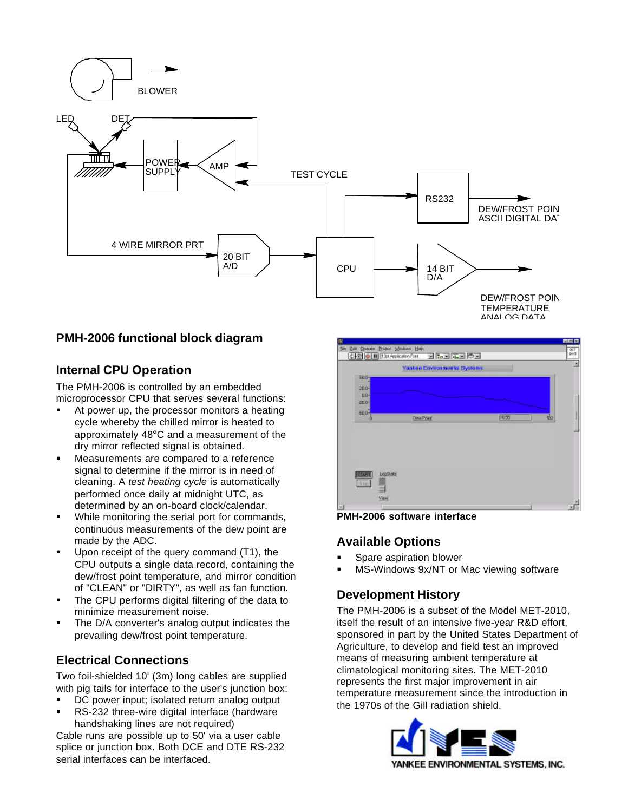

#### **PMH-2006 functional block diagram**

#### **Internal CPU Operation**

The PMH-2006 is controlled by an embedded microprocessor CPU that serves several functions:

- ß At power up, the processor monitors a heating cycle whereby the chilled mirror is heated to approximately 48°C and a measurement of the dry mirror reflected signal is obtained.
- ß Measurements are compared to a reference signal to determine if the mirror is in need of cleaning. A *test heating cycle* is automatically performed once daily at midnight UTC, as determined by an on-board clock/calendar.
- While monitoring the serial port for commands, continuous measurements of the dew point are made by the ADC.
- ß Upon receipt of the query command (T1), the CPU outputs a single data record, containing the dew/frost point temperature, and mirror condition of "CLEAN" or "DIRTY", as well as fan function.
- The CPU performs digital filtering of the data to minimize measurement noise.
- The D/A converter's analog output indicates the prevailing dew/frost point temperature.

## **Electrical Connections**

Two foil-shielded 10' (3m) long cables are supplied with pig tails for interface to the user's junction box:

- DC power input; isolated return analog output
- ß RS-232 three-wire digital interface (hardware handshaking lines are not required)

Cable runs are possible up to 50' via a user cable splice or junction box. Both DCE and DTE RS-232 serial interfaces can be interfaced.



**PMH-2006 software interface**

#### **Available Options**

- ß Spare aspiration blower
- ß MS-Windows 9x/NT or Mac viewing software

## **Development History**

The PMH-2006 is a subset of the Model MET-2010, itself the result of an intensive five-year R&D effort, sponsored in part by the United States Department of Agriculture, to develop and field test an improved means of measuring ambient temperature at climatological monitoring sites. The MET-2010 represents the first major improvement in air temperature measurement since the introduction in the 1970s of the Gill radiation shield.